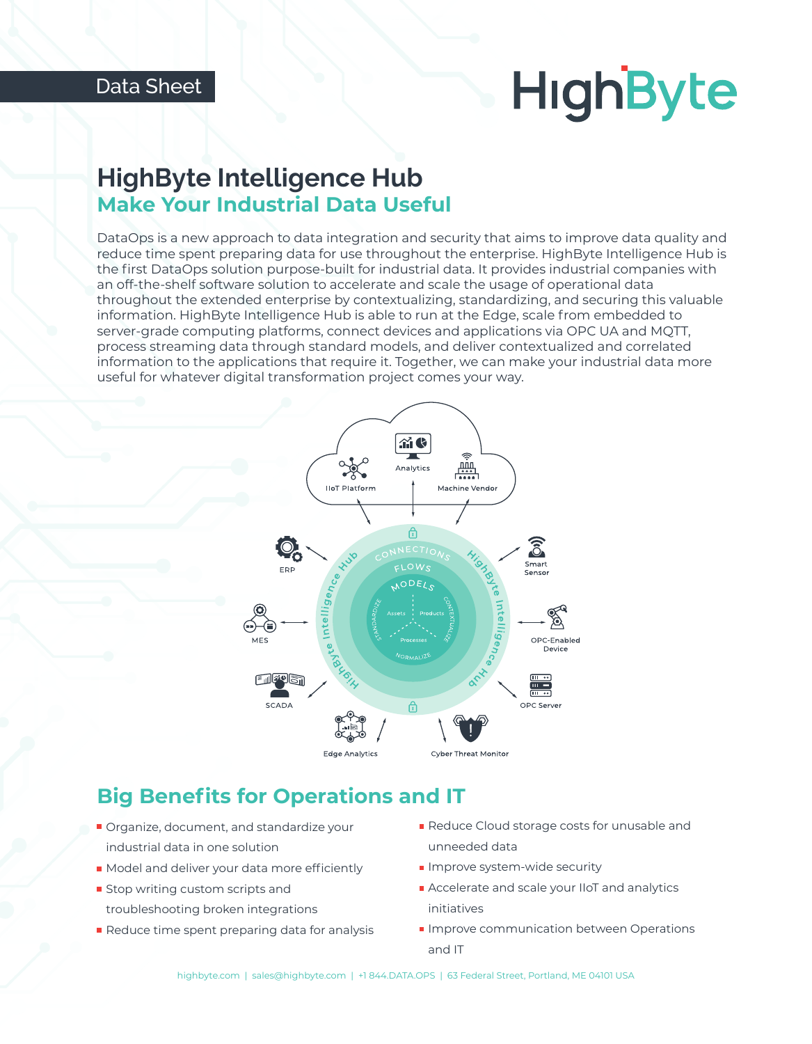# **HighByte**

# **HighByte Intelligence Hub Make Your Industrial Data Useful**

DataOps is a new approach to data integration and security that aims to improve data quality and reduce time spent preparing data for use throughout the enterprise. HighByte Intelligence Hub is the first DataOps solution purpose-built for industrial data. It provides industrial companies with an off-the-shelf software solution to accelerate and scale the usage of operational data throughout the extended enterprise by contextualizing, standardizing, and securing this valuable information. HighByte Intelligence Hub is able to run at the Edge, scale from embedded to server-grade computing platforms, connect devices and applications via OPC UA and MQTT, process streaming data through standard models, and deliver contextualized and correlated information to the applications that require it. Together, we can make your industrial data more useful for whatever digital transformation project comes your way.



# **Big Benefits for Operations and IT**

- **Organize, document, and standardize your** industrial data in one solution
- Model and deliver your data more efficiently
- **Stop writing custom scripts and** troubleshooting broken integrations
- Reduce time spent preparing data for analysis
- Reduce Cloud storage costs for unusable and unneeded data
- **Improve system-wide security**
- Accelerate and scale your IIoT and analytics initiatives
- **Improve communication between Operations** and IT